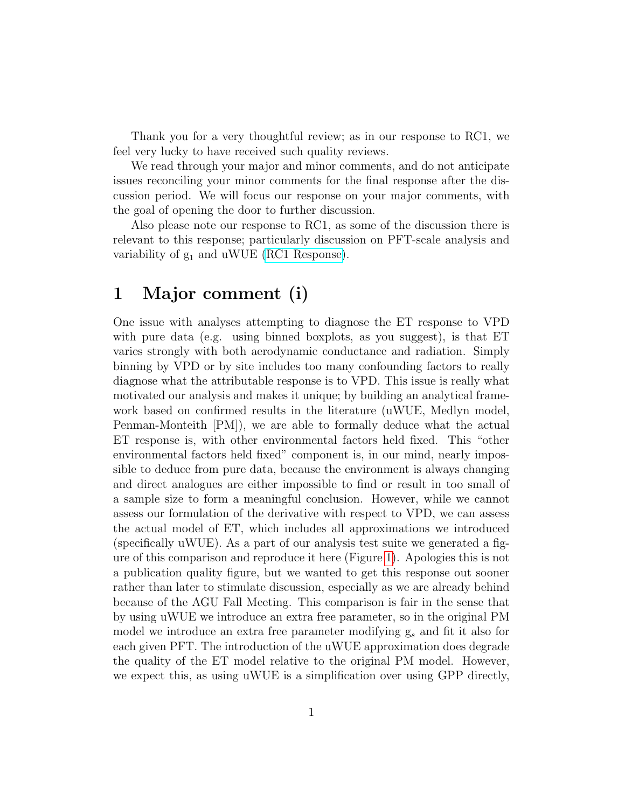Thank you for a very thoughtful review; as in our response to RC1, we feel very lucky to have received such quality reviews.

We read through your major and minor comments, and do not anticipate issues reconciling your minor comments for the final response after the discussion period. We will focus our response on your major comments, with the goal of opening the door to further discussion.

Also please note our response to RC1, as some of the discussion there is relevant to this response; particularly discussion on PFT-scale analysis and variability of  $g_1$  and uWUE [\(RC1 Response\)](https://editor.copernicus.org/index.php/hess-2018-553-AC1.pdf?_mdl=msover_md&_jrl=13&_lcm=oc108lcm109w&_acm=get_comm_file&_ms=72556&c=153745&salt=17166479111051651323).

# <span id="page-0-0"></span>1 Major comment (i)

One issue with analyses attempting to diagnose the ET response to VPD with pure data (e.g. using binned boxplots, as you suggest), is that ET varies strongly with both aerodynamic conductance and radiation. Simply binning by VPD or by site includes too many confounding factors to really diagnose what the attributable response is to VPD. This issue is really what motivated our analysis and makes it unique; by building an analytical framework based on confirmed results in the literature (uWUE, Medlyn model, Penman-Monteith [PM]), we are able to formally deduce what the actual ET response is, with other environmental factors held fixed. This "other environmental factors held fixed" component is, in our mind, nearly impossible to deduce from pure data, because the environment is always changing and direct analogues are either impossible to find or result in too small of a sample size to form a meaningful conclusion. However, while we cannot assess our formulation of the derivative with respect to VPD, we can assess the actual model of ET, which includes all approximations we introduced (specifically uWUE). As a part of our analysis test suite we generated a figure of this comparison and reproduce it here (Figure [1\)](#page-1-0). Apologies this is not a publication quality figure, but we wanted to get this response out sooner rather than later to stimulate discussion, especially as we are already behind because of the AGU Fall Meeting. This comparison is fair in the sense that by using uWUE we introduce an extra free parameter, so in the original PM model we introduce an extra free parameter modifying  $g_s$  and fit it also for each given PFT. The introduction of the uWUE approximation does degrade the quality of the ET model relative to the original PM model. However, we expect this, as using uWUE is a simplification over using GPP directly,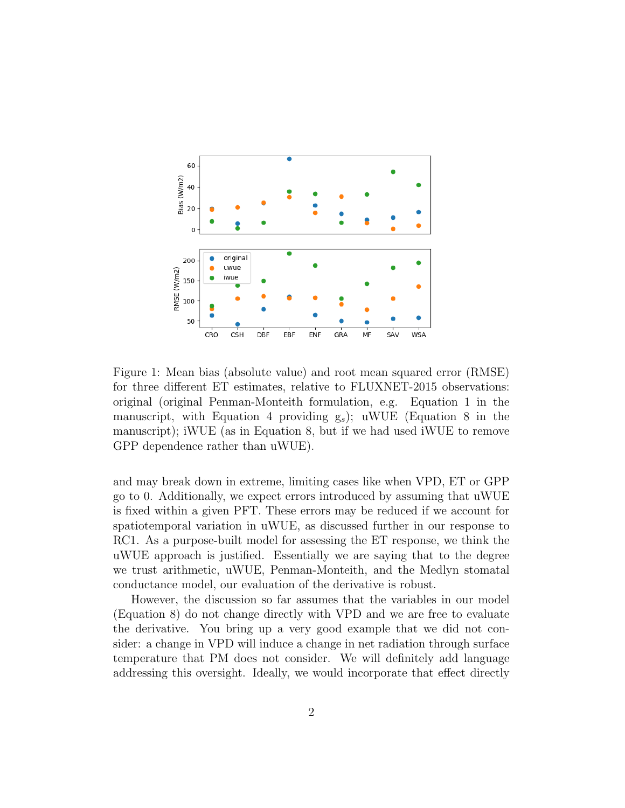

<span id="page-1-0"></span>Figure 1: Mean bias (absolute value) and root mean squared error (RMSE) for three different ET estimates, relative to FLUXNET-2015 observations: original (original Penman-Monteith formulation, e.g. Equation 1 in the manuscript, with Equation 4 providing  $g_s$ ); uWUE (Equation 8 in the manuscript); iWUE (as in Equation 8, but if we had used iWUE to remove GPP dependence rather than uWUE).

and may break down in extreme, limiting cases like when VPD, ET or GPP go to 0. Additionally, we expect errors introduced by assuming that uWUE is fixed within a given PFT. These errors may be reduced if we account for spatiotemporal variation in uWUE, as discussed further in our response to RC1. As a purpose-built model for assessing the ET response, we think the uWUE approach is justified. Essentially we are saying that to the degree we trust arithmetic, uWUE, Penman-Monteith, and the Medlyn stomatal conductance model, our evaluation of the derivative is robust.

However, the discussion so far assumes that the variables in our model (Equation 8) do not change directly with VPD and we are free to evaluate the derivative. You bring up a very good example that we did not consider: a change in VPD will induce a change in net radiation through surface temperature that PM does not consider. We will definitely add language addressing this oversight. Ideally, we would incorporate that effect directly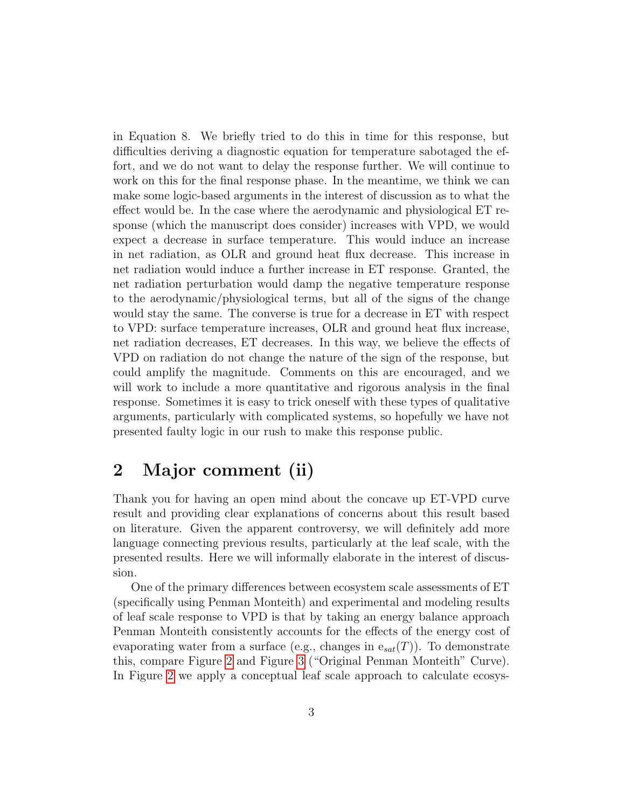in Equation 8. We briefly tried to do this in time for this response, but difficulties deriving a diagnostic equation for temperature sabotaged the effort, and we do not want to delay the response further. We will continue to work on this for the final response phase. In the meantime, we think we can make some logic-based arguments in the interest of discussion as to what the effect would be. In the case where the aerodynamic and physiological ET response (which the manuscript does consider) increases with VPD, we would expect a decrease in surface temperature. This would induce an increase in net radiation, as OLR and ground heat flux decrease. This increase in net radiation would induce a further increase in ET response. Granted, the net radiation perturbation would damp the negative temperature response to the aerodynamic/physiological terms, but all of the signs of the change would stay the same. The converse is true for a decrease in ET with respect to VPD: surface temperature increases, OLR and ground heat flux increase, net radiation decreases, ET decreases. In this way, we believe the effects of VPD on radiation do not change the nature of the sign of the response, but could amplify the magnitude. Comments on this are encouraged, and we will work to include a more quantitative and rigorous analysis in the final response. Sometimes it is easy to trick oneself with these types of qualitative arguments, particularly with complicated systems, so hopefully we have not presented faulty logic in our rush to make this response public.

#### 2 Major comment (ii)

Thank you for having an open mind about the concave up ET-VPD curve result and providing clear explanations of concerns about this result based on literature. Given the apparent controversy, we will definitely add more language connecting previous results, particularly at the leaf scale, with the presented results. Here we will informally elaborate in the interest of discussion.

One of the primary differences between ecosystem scale assessments of ET (specifically using Penman Monteith) and experimental and modeling results of leaf scale response to VPD is that by taking an energy balance approach Penman Monteith consistently accounts for the effects of the energy cost of evaporating water from a surface (e.g., changes in  $e_{sat}(T)$ ). To demonstrate this, compare Figure [2](#page-4-0) and Figure [3](#page-5-0) ("Original Penman Monteith" Curve). In Figure [2](#page-4-0) we apply a conceptual leaf scale approach to calculate ecosys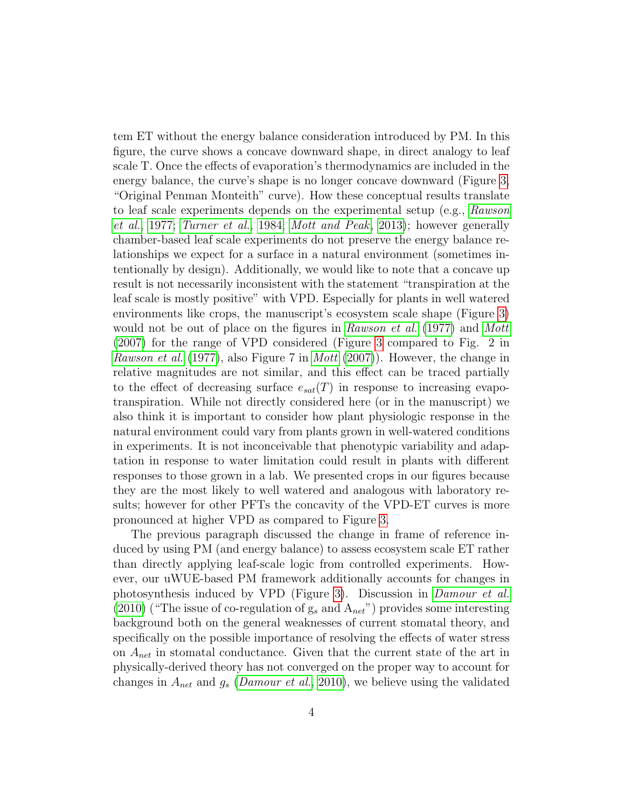tem ET without the energy balance consideration introduced by PM. In this figure, the curve shows a concave downward shape, in direct analogy to leaf scale T. Once the effects of evaporation's thermodynamics are included in the energy balance, the curve's shape is no longer concave downward (Figure [3,](#page-5-0) "Original Penman Monteith" curve). How these conceptual results translate to leaf scale experiments depends on the experimental setup (e.g., [Rawson](#page-8-0) [et al.](#page-8-0), [1977;](#page-8-0) [Turner et al.](#page-8-1), [1984;](#page-8-1) [Mott and Peak](#page-8-2), [2013\)](#page-8-2); however generally chamber-based leaf scale experiments do not preserve the energy balance relationships we expect for a surface in a natural environment (sometimes intentionally by design). Additionally, we would like to note that a concave up result is not necessarily inconsistent with the statement "transpiration at the leaf scale is mostly positive" with VPD. Especially for plants in well watered environments like crops, the manuscript's ecosystem scale shape (Figure [3\)](#page-5-0) would not be out of place on the figures in [Rawson et al.](#page-8-0) [\(1977\)](#page-8-0) and [Mott](#page-8-3) [\(2007\)](#page-8-3) for the range of VPD considered (Figure [3](#page-5-0) compared to Fig. 2 in [Rawson et al.](#page-8-0) [\(1977\)](#page-8-0), also Figure 7 in *[Mott](#page-8-3)* [\(2007\)](#page-8-3)). However, the change in relative magnitudes are not similar, and this effect can be traced partially to the effect of decreasing surface  $e_{sat}(T)$  in response to increasing evapotranspiration. While not directly considered here (or in the manuscript) we also think it is important to consider how plant physiologic response in the natural environment could vary from plants grown in well-watered conditions in experiments. It is not inconceivable that phenotypic variability and adaptation in response to water limitation could result in plants with different responses to those grown in a lab. We presented crops in our figures because they are the most likely to well watered and analogous with laboratory results; however for other PFTs the concavity of the VPD-ET curves is more pronounced at higher VPD as compared to Figure [3.](#page-5-0)

The previous paragraph discussed the change in frame of reference induced by using PM (and energy balance) to assess ecosystem scale ET rather than directly applying leaf-scale logic from controlled experiments. However, our uWUE-based PM framework additionally accounts for changes in photosynthesis induced by VPD (Figure [3\)](#page-5-0). Discussion in [Damour et al.](#page-8-4) [\(2010\)](#page-8-4) ("The issue of co-regulation of  $g_s$  and  $A_{net}$ ") provides some interesting background both on the general weaknesses of current stomatal theory, and specifically on the possible importance of resolving the effects of water stress on  $A_{net}$  in stomatal conductance. Given that the current state of the art in physically-derived theory has not converged on the proper way to account for changes in  $A_{net}$  and  $g_s$  ([Damour et al.](#page-8-4), [2010\)](#page-8-4), we believe using the validated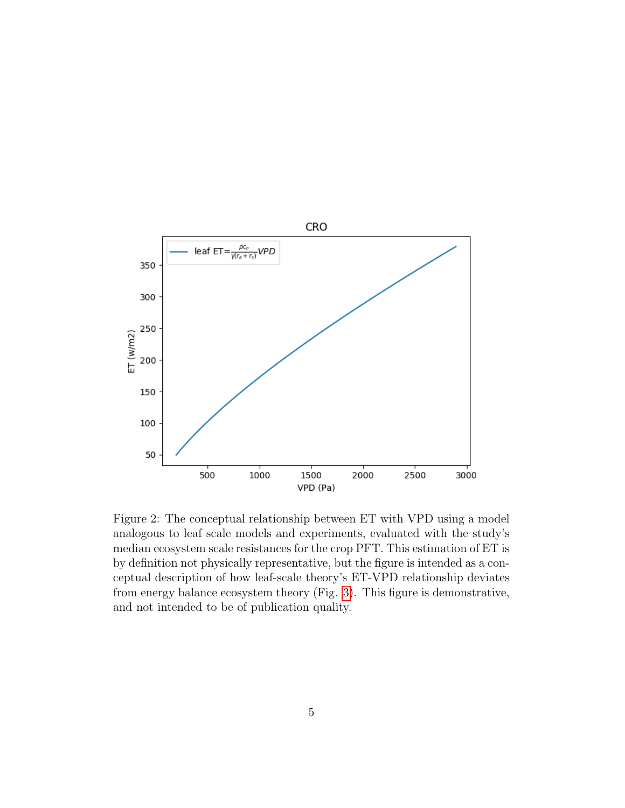

<span id="page-4-0"></span>Figure 2: The conceptual relationship between ET with VPD using a model analogous to leaf scale models and experiments, evaluated with the study's median ecosystem scale resistances for the crop PFT. This estimation of ET is by definition not physically representative, but the figure is intended as a conceptual description of how leaf-scale theory's ET-VPD relationship deviates from energy balance ecosystem theory (Fig. [3\)](#page-5-0). This figure is demonstrative, and not intended to be of publication quality.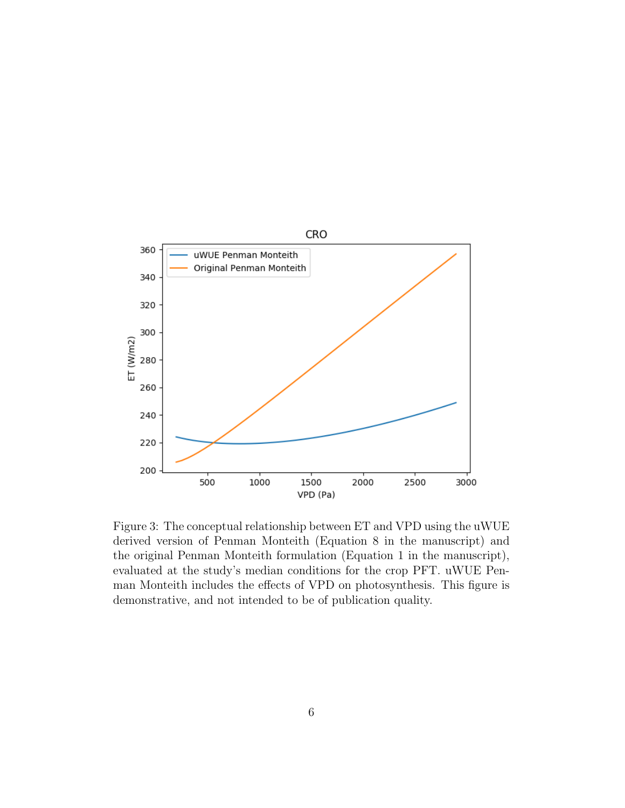

<span id="page-5-0"></span>Figure 3: The conceptual relationship between ET and VPD using the uWUE derived version of Penman Monteith (Equation 8 in the manuscript) and the original Penman Monteith formulation (Equation 1 in the manuscript), evaluated at the study's median conditions for the crop PFT. uWUE Penman Monteith includes the effects of VPD on photosynthesis. This figure is demonstrative, and not intended to be of publication quality.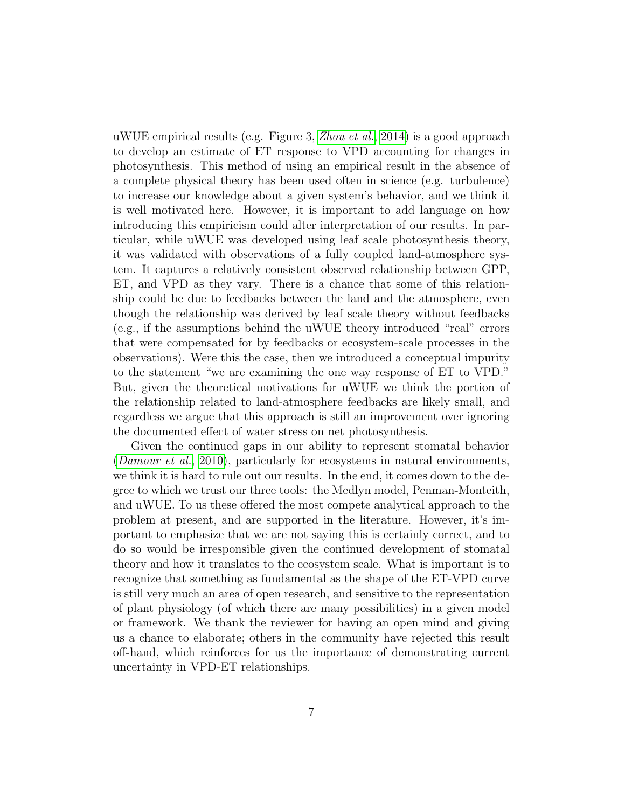uWUE empirical results (e.g. Figure 3, *[Zhou et al.](#page-8-5)*, [2014\)](#page-8-5) is a good approach to develop an estimate of ET response to VPD accounting for changes in photosynthesis. This method of using an empirical result in the absence of a complete physical theory has been used often in science (e.g. turbulence) to increase our knowledge about a given system's behavior, and we think it is well motivated here. However, it is important to add language on how introducing this empiricism could alter interpretation of our results. In particular, while uWUE was developed using leaf scale photosynthesis theory, it was validated with observations of a fully coupled land-atmosphere system. It captures a relatively consistent observed relationship between GPP, ET, and VPD as they vary. There is a chance that some of this relationship could be due to feedbacks between the land and the atmosphere, even though the relationship was derived by leaf scale theory without feedbacks (e.g., if the assumptions behind the uWUE theory introduced "real" errors that were compensated for by feedbacks or ecosystem-scale processes in the observations). Were this the case, then we introduced a conceptual impurity to the statement "we are examining the one way response of ET to VPD." But, given the theoretical motivations for uWUE we think the portion of the relationship related to land-atmosphere feedbacks are likely small, and regardless we argue that this approach is still an improvement over ignoring the documented effect of water stress on net photosynthesis.

Given the continued gaps in our ability to represent stomatal behavior ([Damour et al.](#page-8-4), [2010\)](#page-8-4), particularly for ecosystems in natural environments, we think it is hard to rule out our results. In the end, it comes down to the degree to which we trust our three tools: the Medlyn model, Penman-Monteith, and uWUE. To us these offered the most compete analytical approach to the problem at present, and are supported in the literature. However, it's important to emphasize that we are not saying this is certainly correct, and to do so would be irresponsible given the continued development of stomatal theory and how it translates to the ecosystem scale. What is important is to recognize that something as fundamental as the shape of the ET-VPD curve is still very much an area of open research, and sensitive to the representation of plant physiology (of which there are many possibilities) in a given model or framework. We thank the reviewer for having an open mind and giving us a chance to elaborate; others in the community have rejected this result off-hand, which reinforces for us the importance of demonstrating current uncertainty in VPD-ET relationships.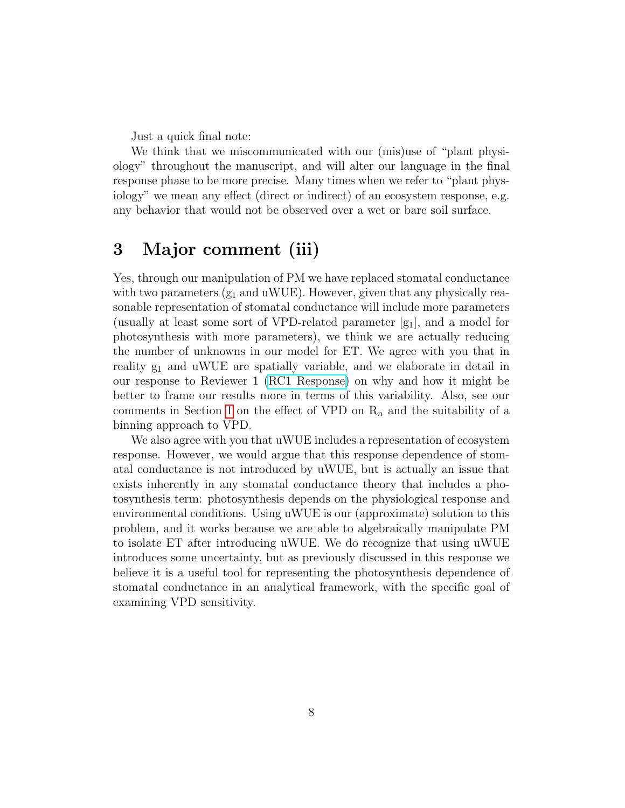Just a quick final note:

We think that we miscommunicated with our (mis)use of "plant physiology" throughout the manuscript, and will alter our language in the final response phase to be more precise. Many times when we refer to "plant physiology" we mean any effect (direct or indirect) of an ecosystem response, e.g. any behavior that would not be observed over a wet or bare soil surface.

# 3 Major comment (iii)

Yes, through our manipulation of PM we have replaced stomatal conductance with two parameters  $(g_1 \text{ and uWUE})$ . However, given that any physically reasonable representation of stomatal conductance will include more parameters (usually at least some sort of VPD-related parameter  $[g_1]$ , and a model for photosynthesis with more parameters), we think we are actually reducing the number of unknowns in our model for ET. We agree with you that in reality  $g_1$  and uWUE are spatially variable, and we elaborate in detail in our response to Reviewer 1 [\(RC1 Response\)](https://editor.copernicus.org/index.php/hess-2018-553-AC1.pdf?_mdl=msover_md&_jrl=13&_lcm=oc108lcm109w&_acm=get_comm_file&_ms=72556&c=153745&salt=1660920846993335212) on why and how it might be better to frame our results more in terms of this variability. Also, see our comments in Section [1](#page-0-0) on the effect of VPD on  $R_n$  and the suitability of a binning approach to VPD.

We also agree with you that uWUE includes a representation of ecosystem response. However, we would argue that this response dependence of stomatal conductance is not introduced by uWUE, but is actually an issue that exists inherently in any stomatal conductance theory that includes a photosynthesis term: photosynthesis depends on the physiological response and environmental conditions. Using uWUE is our (approximate) solution to this problem, and it works because we are able to algebraically manipulate PM to isolate ET after introducing uWUE. We do recognize that using uWUE introduces some uncertainty, but as previously discussed in this response we believe it is a useful tool for representing the photosynthesis dependence of stomatal conductance in an analytical framework, with the specific goal of examining VPD sensitivity.